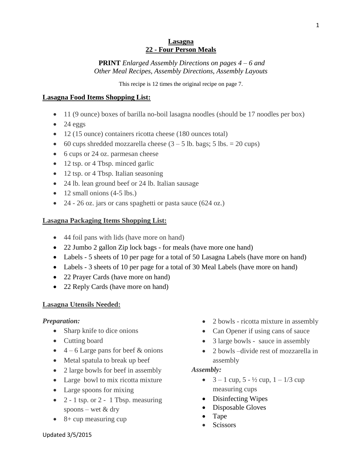#### **Lasagna 22 - Four Person Meals**

**PRINT** *Enlarged Assembly Directions on pages 4 – 6 and Other Meal Recipes, Assembly Directions, Assembly Layouts*

This recipe is 12 times the original recipe on page 7.

## **Lasagna Food Items Shopping List:**

- 11 (9 ounce) boxes of barilla no-boil lasagna noodles (should be 17 noodles per box)
- $\bullet$  24 eggs
- 12 (15 ounce) containers ricotta cheese (180 ounces total)
- 60 cups shredded mozzarella cheese  $(3 5)$  lb. bags; 5 lbs. = 20 cups)
- 6 cups or 24 oz. parmesan cheese
- 12 tsp. or 4 Tbsp. minced garlic
- 12 tsp. or 4 Tbsp. Italian seasoning
- 24 lb. lean ground beef or 24 lb. Italian sausage
- $\bullet$  12 small onions (4-5 lbs.)
- 24 26 oz. jars or cans spaghetti or pasta sauce (624 oz.)

## **Lasagna Packaging Items Shopping List:**

- 44 foil pans with lids (have more on hand)
- 22 Jumbo 2 gallon Zip lock bags for meals (have more one hand)
- Labels 5 sheets of 10 per page for a total of 50 Lasagna Labels (have more on hand)
- Labels 3 sheets of 10 per page for a total of 30 Meal Labels (have more on hand)
- 22 Prayer Cards (have more on hand)
- 22 Reply Cards (have more on hand)

## **Lasagna Utensils Needed:**

## *Preparation:*

- Sharp knife to dice onions
- Cutting board
- $\bullet$  4 6 Large pans for beef & onions
- Metal spatula to break up beef
- 2 large bowls for beef in assembly
- Large bowl to mix ricotta mixture
- Large spoons for mixing
- $2 1$  tsp. or  $2 1$  Tbsp. measuring spoons – wet & dry
- $\bullet$  8+ cup measuring cup
- 2 bowls ricotta mixture in assembly
- Can Opener if using cans of sauce
- 3 large bowls sauce in assembly
- 2 bowls –divide rest of mozzarella in assembly

### *Assembly:*

- $3 1$  cup,  $5 \frac{1}{2}$  cup,  $1 \frac{1}{3}$  cup measuring cups
- Disinfecting Wipes
- Disposable Gloves
- Tape
- **Scissors**

1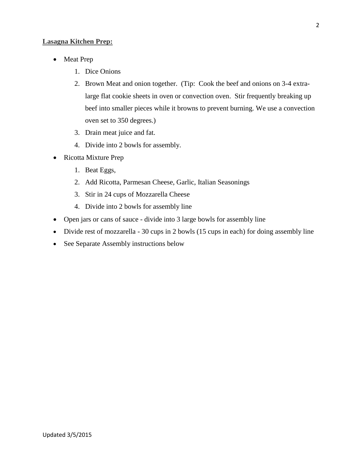### **Lasagna Kitchen Prep:**

- Meat Prep
	- 1. Dice Onions
	- 2. Brown Meat and onion together. (Tip: Cook the beef and onions on 3-4 extralarge flat cookie sheets in oven or convection oven. Stir frequently breaking up beef into smaller pieces while it browns to prevent burning. We use a convection oven set to 350 degrees.)
	- 3. Drain meat juice and fat.
	- 4. Divide into 2 bowls for assembly.
- Ricotta Mixture Prep
	- 1. Beat Eggs,
	- 2. Add Ricotta, Parmesan Cheese, Garlic, Italian Seasonings
	- 3. Stir in 24 cups of Mozzarella Cheese
	- 4. Divide into 2 bowls for assembly line
- Open jars or cans of sauce divide into 3 large bowls for assembly line
- Divide rest of mozzarella 30 cups in 2 bowls (15 cups in each) for doing assembly line
- See Separate Assembly instructions below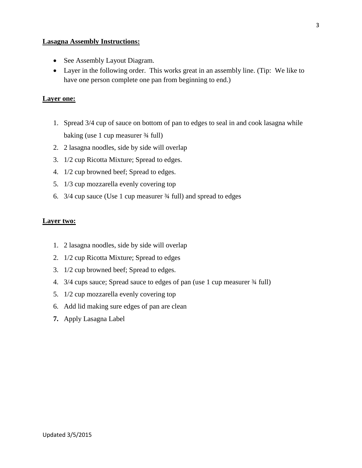#### **Lasagna Assembly Instructions:**

- See Assembly Layout Diagram.
- Layer in the following order. This works great in an assembly line. (Tip: We like to have one person complete one pan from beginning to end.)

#### **Layer one:**

- 1. Spread 3/4 cup of sauce on bottom of pan to edges to seal in and cook lasagna while baking (use 1 cup measurer ¾ full)
- 2. 2 lasagna noodles, side by side will overlap
- 3. 1/2 cup Ricotta Mixture; Spread to edges.
- 4. 1/2 cup browned beef; Spread to edges.
- 5. 1/3 cup mozzarella evenly covering top
- 6. 3/4 cup sauce (Use 1 cup measurer ¾ full) and spread to edges

#### **Layer two:**

- 1. 2 lasagna noodles, side by side will overlap
- 2. 1/2 cup Ricotta Mixture; Spread to edges
- 3. 1/2 cup browned beef; Spread to edges.
- 4. 3/4 cups sauce; Spread sauce to edges of pan (use 1 cup measurer ¾ full)
- 5. 1/2 cup mozzarella evenly covering top
- 6. Add lid making sure edges of pan are clean
- **7.** Apply Lasagna Label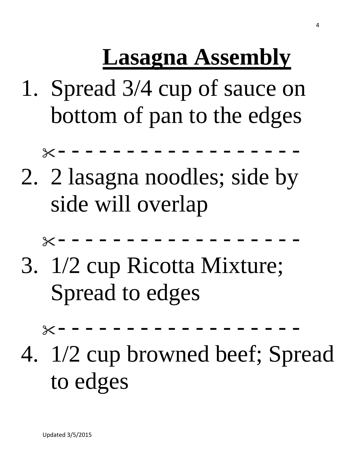# **Lasagna Assembly**

1. Spread 3/4 cup of sauce on bottom of pan to the edges

- - - - - - - - - - - - - - - - - -

2. 2 lasagna noodles; side by side will overlap

- - - - - - - - - - - - - - - - - -

3. 1/2 cup Ricotta Mixture; Spread to edges

- - - - - - - - - - - - - - - - - -

4. 1/2 cup browned beef; Spread to edges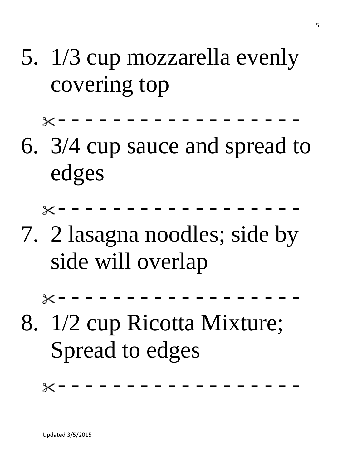5. 1/3 cup mozzarella evenly covering top

- - - - - - - - - - - - - - - - - -

6. 3/4 cup sauce and spread to edges

- - - - - - - - - - - - - - - - - -

7. 2 lasagna noodles; side by side will overlap

- - - - - - - - - - - - - - - - - -

8. 1/2 cup Ricotta Mixture; Spread to edges

- - - - - - - - - - - - - - - - - -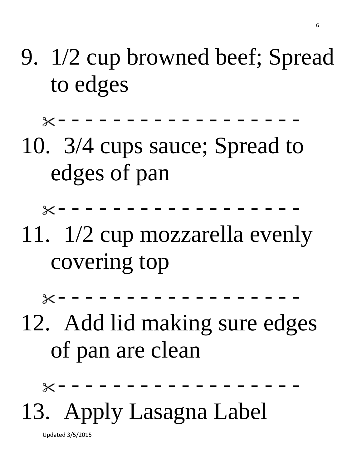9. 1/2 cup browned beef; Spread to edges

- - - - - - - - - - - - - - - - - -

10. 3/4 cups sauce; Spread to edges of pan

- - - - - - - - - - - - - - - - - -

11. 1/2 cup mozzarella evenly covering top

- - - - - - - - - - - - - - - - - -

12. Add lid making sure edges of pan are clean

- - - - - - - - - - - - - - - - - -

13. Apply Lasagna Label

Updated 3/5/2015